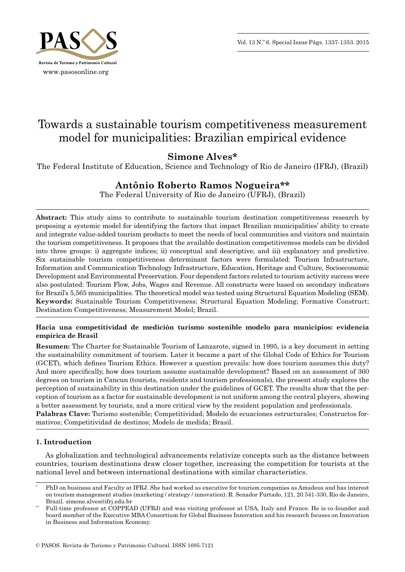

# Towards a sustainable tourism competitiveness measurement model for municipalities: Brazilian empirical evidence

## **Simone Alves\***

The Federal Institute of Education, Science and Technology of Rio de Janeiro (IFRJ), (Brazil)

## **Antônio Roberto Ramos Nogueira\*\***

The Federal University of Rio de Janeiro (UFRJ), (Brazil)

**Abstract:** This study aims to contribute to sustainable tourism destination competitiveness research by proposing a systemic model for identifying the factors that impact Brazilian municipalities' ability to create and integrate value -added tourism products to meet the needs of local communities and visitors and maintain the tourism competitiveness. It proposes that the available destination competitiveness models can be divided into three groups: i) aggregate indices; ii) conceptual and descriptive; and iii) explanatory and predictive. Six sustainable tourism competitiveness determinant factors were formulated: Tourism Infrastructure, Information and Communication Technology Infrastructure, Education, Heritage and Culture, Socioeconomic Development and Environmental Preservation. Four dependent factors related to tourism activity success were also postulated: Tourism Flow, Jobs, Wages and Revenue. All constructs were based on secondary indicators for Brazil's 5,565 municipalities. The theoretical model was tested using Structural Equation Modeling (SEM). **Keywords:** Sustainable Tourism Competitiveness; Structural Equation Modeling; Formative Construct; Destination Competitiveness; Measurement Model; Brazil.

## **Hacia una competitividad de medición turismo sostenible modelo para municipios: evidencia empírica de Brasil**

**Resumen:** The Charter for Sustainable Tourism of Lanzarote, signed in 1995, is a key document in setting the sustainability commitment of tourism. Later it became a part of the Global Code of Ethics for Tourism (GCET), which defines Tourism Ethics. However a question prevails: how does tourism assumes this duty? And more specifically, how does tourism assume sustainable development? Based on an assessment of 360 degrees on tourism in Cancun (tourists, residents and tourism professionals), the present study explores the perception of sustainability in this destination under the guidelines of GCET. The results show that the perception of tourism as a factor for sustainable development is not uniform among the central players, showing a better assessment by tourists, and a more critical view by the resident population and professionals. **Palabras Clave:** Turismo sostenible; Competitividad; Modelo de ecuaciones estructurales; Constructos for-

mativos; Competitividad de destinos; Modelo de medida; Brasil.

## **1. Introduction**

As globalization and technological advancements relativize concepts such as the distance between countries, tourism destinations draw closer together, increasing the competition for tourists at the national level and between international destinations with similar characteristics.

PhD on business and Faculty at IFRJ. She had worked as executive for tourism companies as Amadeus and has interest on tourism management studies (marketing / strategy / innovation). R. Senador Furtado, 121, 20.541 -330, Rio de Janeiro, Brazil. simone.alves@ifrj.edu.br

Full-time professor at COPPEAD (UFRJ) and was visiting professor at USA, Italy and France. He is co-founder and board member of the Executive MBA Consortium for Global Business Innovation and his research focuses on Innovation in Business and Information Economy.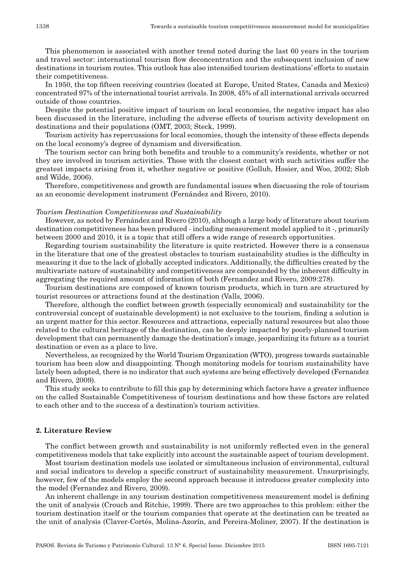This phenomenon is associated with another trend noted during the last 60 years in the tourism and travel sector: international tourism flow deconcentration and the subsequent inclusion of new destinations in tourism routes. This outlook has also intensified tourism destinations' efforts to sustain their competitiveness.

In 1950, the top fifteen receiving countries (located at Europe, United States, Canada and Mexico) concentrated 97% of the international tourist arrivals. In 2008, 45% of all international arrivals occurred outside of those countries.

Despite the potential positive impact of tourism on local economies, the negative impact has also been discussed in the literature, including the adverse effects of tourism activity development on destinations and their populations (OMT, 2003; Steck, 1999).

Tourism activity has repercussions for local economies, though the intensity of these effects depends on the local economy's degree of dynamism and diversification.

The tourism sector can bring both benefits and trouble to a community's residents, whether or not they are involved in tourism activities. Those with the closest contact with such activities suffer the greatest impacts arising from it, whether negative or positive (Gollub, Hosier, and Woo, 2002; Slob and Wilde, 2006).

Therefore, competitiveness and growth are fundamental issues when discussing the role of tourism as an economic development instrument (Fernández and Rivero, 2010).

#### *Tourism Destination Competitiveness and Sustainability*

However, as noted by Fernández and Rivero (2010), although a large body of literature about tourism destination competitiveness has been produced - including measurement model applied to it -, primarily between 2000 and 2010, it is a topic that still offers a wide range of research opportunities.

Regarding tourism sustainability the literature is quite restricted. However there is a consensus in the literature that one of the greatest obstacles to tourism sustainability studies is the difficulty in measuring it due to the lack of globally accepted indicators. Additionally, the difficulties created by the multivariate nature of sustainability and competitiveness are compounded by the inherent difficulty in aggregating the required amount of information of both (Fernandez and Rivero, 2009:278).

Tourism destinations are composed of known tourism products, which in turn are structured by tourist resources or attractions found at the destination (Valls, 2006).

Therefore, although the conflict between growth (especially economical) and sustainability (or the controversial concept of sustainable development) is not exclusive to the tourism, finding a solution is an urgent matter for this sector. Resources and attractions, especially natural resources but also those related to the cultural heritage of the destination, can be deeply impacted by poorly -planned tourism development that can permanently damage the destination's image, jeopardizing its future as a tourist destination or even as a place to live.

Nevertheless, as recognized by the World Tourism Organization (WTO), progress towards sustainable tourism has been slow and disappointing. Though monitoring models for tourism sustainability have lately been adopted, there is no indicator that such systems are being effectively developed (Fernandez and Rivero, 2009).

This study seeks to contribute to fill this gap by determining which factors have a greater influence on the called Sustainable Competitiveness of tourism destinations and how these factors are related to each other and to the success of a destination's tourism activities.

## **2. Literature Review**

The conflict between growth and sustainability is not uniformly reflected even in the general competitiveness models that take explicitly into account the sustainable aspect of tourism development.

Most tourism destination models use isolated or simultaneous inclusion of environmental, cultural and social indicators to develop a specific construct of sustainability measurement. Unsurprisingly, however, few of the models employ the second approach because it introduces greater complexity into the model (Fernandez and Rivero, 2009).

An inherent challenge in any tourism destination competitiveness measurement model is defining the unit of analysis (Crouch and Ritchie, 1999). There are two approaches to this problem: either the tourism destination itself or the tourism companies that operate at the destination can be treated as the unit of analysis (Claver -Cortés, Molina -Azorín, and Pereira -Moliner, 2007). If the destination is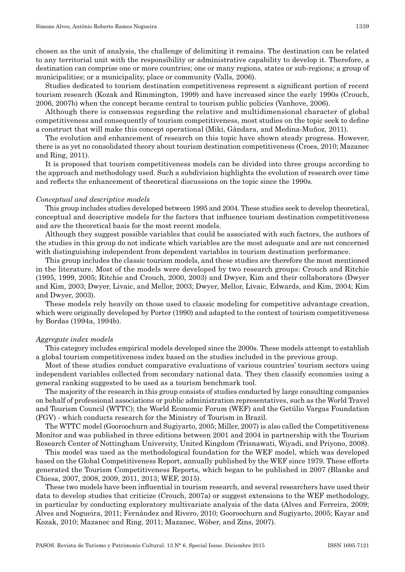chosen as the unit of analysis, the challenge of delimiting it remains. The destination can be related to any territorial unit with the responsibility or administrative capability to develop it. Therefore, a destination can comprise one or more countries; one or many regions, states or sub -regions; a group of municipalities; or a municipality, place or community (Valls, 2006).

Studies dedicated to tourism destination competitiveness represent a significant portion of recent tourism research (Kozak and Rimmington, 1999) and have increased since the early 1990s (Crouch, 2006, 2007b) when the concept became central to tourism public policies (Vanhove, 2006).

Although there is consensus regarding the relative and multidimensional character of global competitiveness and consequently of tourism competitiveness, most studies on the topic seek to define a construct that will make this concept operational (Miki, Gândara, and Medina -Muñoz, 2011).

The evolution and enhancement of research on this topic have shown steady progress. However, there is as yet no consolidated theory about tourism destination competitiveness (Croes, 2010; Mazanec and Ring, 2011).

It is proposed that tourism competitiveness models can be divided into three groups according to the approach and methodology used. Such a subdivision highlights the evolution of research over time and reflects the enhancement of theoretical discussions on the topic since the 1990s.

#### *Conceptual and descriptive models*

This group includes studies developed between 1995 and 2004. These studies seek to develop theoretical, conceptual and descriptive models for the factors that influence tourism destination competitiveness and are the theoretical basis for the most recent models.

Although they suggest possible variables that could be associated with such factors, the authors of the studies in this group do not indicate which variables are the most adequate and are not concerned with distinguishing independent from dependent variables in tourism destination performance.

This group includes the classic tourism models, and these studies are therefore the most mentioned in the literature. Most of the models were developed by two research groups: Crouch and Ritchie (1995, 1999, 2005; Ritchie and Crouch, 2000, 2003) and Dwyer, Kim and their collaborators (Dwyer and Kim, 2003; Dwyer, Livaic, and Mellor, 2003; Dwyer, Mellor, Livaic, Edwards, and Kim, 2004; Kim and Dwyer, 2003).

These models rely heavily on those used to classic modeling for competitive advantage creation, which were originally developed by Porter (1990) and adapted to the context of tourism competitiveness by Bordas (1994a, 1994b).

#### *Aggregate index models*

This category includes empirical models developed since the 2000s. These models attempt to establish a global tourism competitiveness index based on the studies included in the previous group.

Most of these studies conduct comparative evaluations of various countries' tourism sectors using independent variables collected from secondary national data. They then classify economies using a general ranking suggested to be used as a tourism benchmark tool.

The majority of the research in this group consists of studies conducted by large consulting companies on behalf of professional associations or public administration representatives, such as the World Travel and Tourism Council (WTTC); the World Economic Forum (WEF) and the Getúlio Vargas Foundation (FGV) - which conducts research for the Ministry of Tourism in Brazil.

The WTTC model (Gooroochurn and Sugiyarto, 2005; Miller, 2007) is also called the Competitiveness Monitor and was published in three editions between 2001 and 2004 in partnership with the Tourism Research Center of Nottingham University, United Kingdom (Trisnawati, Wiyadi, and Priyono, 2008).

This model was used as the methodological foundation for the WEF model, which was developed based on the Global Competitiveness Report, annually published by the WEF since 1979. These efforts generated the Tourism Competitiveness Reports, which began to be published in 2007 (Blanke and Chiesa, 2007, 2008, 2009, 2011, 2013; WEF, 2015).

These two models have been influential in tourism research, and several researchers have used their data to develop studies that criticize (Crouch, 2007a) or suggest extensions to the WEF methodology, in particular by conducting exploratory multivariate analysis of the data (Alves and Ferreira, 2009; Alves and Nogueira, 2011; Fernández and Rivero, 2010; Gooroochurn and Sugiyarto, 2005; Kayar and Kozak, 2010; Mazanec and Ring, 2011; Mazanec, Wöber, and Zins, 2007).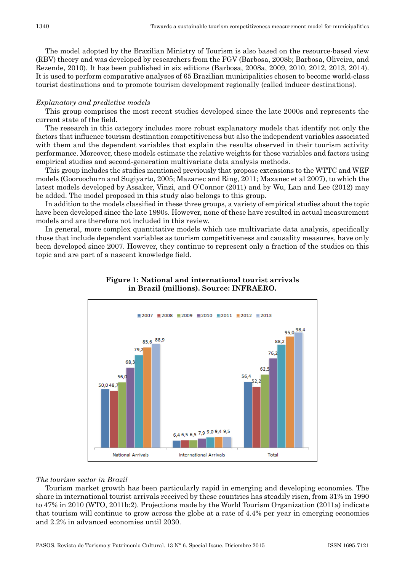The model adopted by the Brazilian Ministry of Tourism is also based on the resource -based view (RBV) theory and was developed by researchers from the FGV (Barbosa, 2008b; Barbosa, Oliveira, and Rezende, 2010). It has been published in six editions (Barbosa, 2008a, 2009, 2010, 2012, 2013, 2014). It is used to perform comparative analyses of 65 Brazilian municipalities chosen to become world -class tourist destinations and to promote tourism development regionally (called inducer destinations).

#### *Explanatory and predictive models*

This group comprises the most recent studies developed since the late 2000s and represents the current state of the field.

The research in this category includes more robust explanatory models that identify not only the factors that influence tourism destination competitiveness but also the independent variables associated with them and the dependent variables that explain the results observed in their tourism activity performance. Moreover, these models estimate the relative weights for these variables and factors using empirical studies and second -generation multivariate data analysis methods.

This group includes the studies mentioned previously that propose extensions to the WTTC and WEF models (Gooroochurn and Sugiyarto, 2005; Mazanec and Ring, 2011; Mazanec et al 2007), to which the latest models developed by Assaker, Vinzi, and O'Connor (2011) and by Wu, Lan and Lee (2012) may be added. The model proposed in this study also belongs to this group.

In addition to the models classified in these three groups, a variety of empirical studies about the topic have been developed since the late 1990s. However, none of these have resulted in actual measurement models and are therefore not included in this review.

In general, more complex quantitative models which use multivariate data analysis, specifically those that include dependent variables as tourism competitiveness and causality measures, have only been developed since 2007. However, they continue to represent only a fraction of the studies on this topic and are part of a nascent knowledge field.



## **Figure 1: National and international tourist arrivals in Brazil (millions). Source: INFRAERO.**

#### *The tourism sector in Brazil*

Tourism market growth has been particularly rapid in emerging and developing economies. The share in international tourist arrivals received by these countries has steadily risen, from 31% in 1990 to 47% in 2010 (WTO, 2011b:2). Projections made by the World Tourism Organization (2011a) indicate that tourism will continue to grow across the globe at a rate of 4.4% per year in emerging economies and 2.2% in advanced economies until 2030.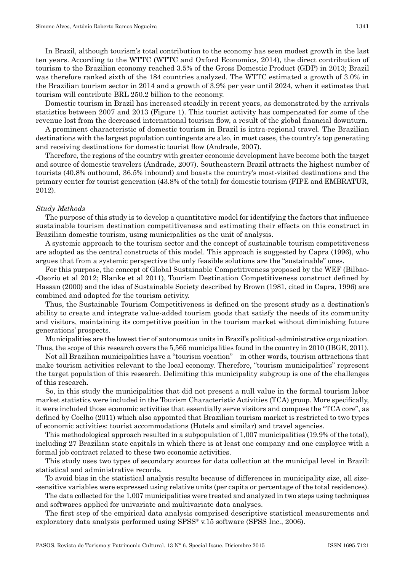tourism will contribute BRL 250.2 billion to the economy.

In Brazil, although tourism's total contribution to the economy has seen modest growth in the last ten years. According to the WTTC (WTTC and Oxford Economics, 2014), the direct contribution of tourism to the Brazilian economy reached 3.5% of the Gross Domestic Product (GDP) in 2013; Brazil was therefore ranked sixth of the 184 countries analyzed. The WTTC estimated a growth of 3.0% in the Brazilian tourism sector in 2014 and a growth of 3.9% per year until 2024, when it estimates that

Domestic tourism in Brazil has increased steadily in recent years, as demonstrated by the arrivals statistics between 2007 and 2013 (Figure 1). This tourist activity has compensated for some of the revenue lost from the decreased international tourism flow, a result of the global financial downturn.

A prominent characteristic of domestic tourism in Brazil is intra -regional travel. The Brazilian destinations with the largest population contingents are also, in most cases, the country's top generating and receiving destinations for domestic tourist flow (Andrade, 2007).

Therefore, the regions of the country with greater economic development have become both the target and source of domestic travelers (Andrade, 2007). Southeastern Brazil attracts the highest number of tourists (40.8% outbound, 36.5% inbound) and boasts the country's most -visited destinations and the primary center for tourist generation (43.8% of the total) for domestic tourism (FIPE and EMBRATUR, 2012).

#### *Study Methods*

The purpose of this study is to develop a quantitative model for identifying the factors that influence sustainable tourism destination competitiveness and estimating their effects on this construct in Brazilian domestic tourism, using municipalities as the unit of analysis.

A systemic approach to the tourism sector and the concept of sustainable tourism competitiveness are adopted as the central constructs of this model. This approach is suggested by Capra (1996), who argues that from a systemic perspective the only feasible solutions are the "sustainable" ones.

For this purpose, the concept of Global Sustainable Competitiveness proposed by the WEF (Bilbao- -Osorio et al 2012; Blanke et al 2011), Tourism Destination Competitiveness construct defined by Hassan (2000) and the idea of Sustainable Society described by Brown (1981, cited in Capra, 1996) are combined and adapted for the tourism activity.

Thus, the Sustainable Tourism Competitiveness is defined on the present study as a destination's ability to create and integrate value -added tourism goods that satisfy the needs of its community and visitors, maintaining its competitive position in the tourism market without diminishing future generations' prospects.

Municipalities are the lowest tier of autonomous units in Brazil's political -administrative organization. Thus, the scope of this research covers the 5,565 municipalities found in the country in 2010 (IBGE, 2011).

Not all Brazilian municipalities have a "tourism vocation" – in other words, tourism attractions that make tourism activities relevant to the local economy. Therefore, "tourism municipalities" represent the target population of this research. Delimiting this municipality subgroup is one of the challenges of this research.

So, in this study the municipalities that did not present a null value in the formal tourism labor market statistics were included in the Tourism Characteristic Activities (TCA) group. More specifically, it were included those economic activities that essentially serve visitors and compose the "TCA core", as defined by Coelho (2011) which also appointed that Brazilian tourism market is restricted to two types of economic activities: tourist accommodations (Hotels and similar) and travel agencies.

This methodological approach resulted in a subpopulation of 1,007 municipalities (19.9% of the total), including 27 Brazilian state capitals in which there is at least one company and one employee with a formal job contract related to these two economic activities.

This study uses two types of secondary sources for data collection at the municipal level in Brazil: statistical and administrative records.

To avoid bias in the statistical analysis results because of differences in municipality size, all size- -sensitive variables were expressed using relative units (per capita or percentage of the total residences).

The data collected for the 1,007 municipalities were treated and analyzed in two steps using techniques and softwares applied for univariate and multivariate data analyses.

The first step of the empirical data analysis comprised descriptive statistical measurements and exploratory data analysis performed using  $SPSS^*$  v.15 software (SPSS Inc., 2006).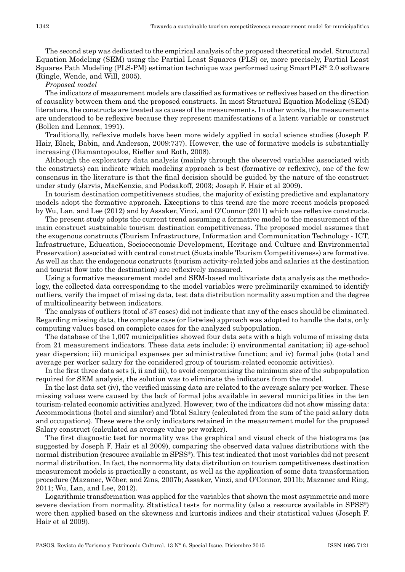The second step was dedicated to the empirical analysis of the proposed theoretical model. Structural Equation Modeling (SEM) using the Partial Least Squares (PLS) or, more precisely, Partial Least Squares Path Modeling (PLS -PM) estimation technique was performed using SmartPLS® 2.0 software (Ringle, Wende, and Will, 2005).

## *Proposed model*

The indicators of measurement models are classified as formatives or reflexives based on the direction of causality between them and the proposed constructs. In most Structural Equation Modeling (SEM) literature, the constructs are treated as causes of the measurements. In other words, the measurements are understood to be reflexive because they represent manifestations of a latent variable or construct (Bollen and Lennox, 1991).

Traditionally, reflexive models have been more widely applied in social science studies (Joseph F. Hair, Black, Babin, and Anderson, 2009:737). However, the use of formative models is substantially increasing (Diamantopoulos, Riefler and Roth, 2008).

Although the exploratory data analysis (mainly through the observed variables associated with the constructs) can indicate which modeling approach is best (formative or reflexive), one of the few consensus in the literature is that the final decision should be guided by the nature of the construct under study (Jarvis, MacKenzie, and Podsakoff, 2003; Joseph F. Hair et al 2009).

In tourism destination competitiveness studies, the majority of existing predictive and explanatory models adopt the formative approach. Exceptions to this trend are the more recent models proposed by Wu, Lan, and Lee (2012) and by Assaker, Vinzi, and O'Connor (2011) which use reflexive constructs.

The present study adopts the current trend assuming a formative model to the measurement of the main construct sustainable tourism destination competitiveness. The proposed model assumes that the exogenous constructs (Tourism Infrastructure, Information and Communication Technology - ICT, Infrastructure, Education, Socioeconomic Development, Heritage and Culture and Environmental Preservation) associated with central construct (Sustainable Tourism Competitiveness) are formative. As well as that the endogenous constructs (tourism activity -related jobs and salaries at the destination and tourist flow into the destination) are reflexively measured.

Using a formative measurement model and SEM -based multivariate data analysis as the methodology, the collected data corresponding to the model variables were preliminarily examined to identify outliers, verify the impact of missing data, test data distribution normality assumption and the degree of multicolinearity between indicators.

The analysis of outliers (total of 37 cases) did not indicate that any of the cases should be eliminated. Regarding missing data, the complete case (or listwise) approach was adopted to handle the data, only computing values based on complete cases for the analyzed subpopulation.

The database of the 1,007 municipalities showed four data sets with a high volume of missing data from 21 measurement indicators. These data sets include: i) environmental sanitation; ii) age -school year dispersion; iii) municipal expenses per administrative function; and iv) formal jobs (total and average per worker salary for the considered group of tourism -related economic activities).

In the first three data sets (i, ii and iii), to avoid compromising the minimum size of the subpopulation required for SEM analysis, the solution was to eliminate the indicators from the model.

In the last data set (iv), the verified missing data are related to the average salary per worker. These missing values were caused by the lack of formal jobs available in several municipalities in the ten tourism -related economic activities analyzed. However, two of the indicators did not show missing data: Accommodations (hotel and similar) and Total Salary (calculated from the sum of the paid salary data and occupations). These were the only indicators retained in the measurement model for the proposed Salary construct (calculated as average value per worker).

The first diagnostic test for normality was the graphical and visual check of the histograms (as suggested by Joseph F. Hair et al 2009), comparing the observed data values distributions with the normal distribution (resource available in SPSS®). This test indicated that most variables did not present normal distribution. In fact, the nonnormality data distribution on tourism competitiveness destination measurement models is practically a constant, as well as the application of some data transformation procedure (Mazanec, Wöber, and Zins, 2007b; Assaker, Vinzi, and O'Connor, 2011b; Mazanec and Ring, 2011; Wu, Lan, and Lee, 2012).

Logarithmic transformation was applied for the variables that shown the most asymmetric and more severe deviation from normality. Statistical tests for normality (also a resource available in SPSS®) were then applied based on the skewness and kurtosis indices and their statistical values (Joseph F. Hair et al 2009).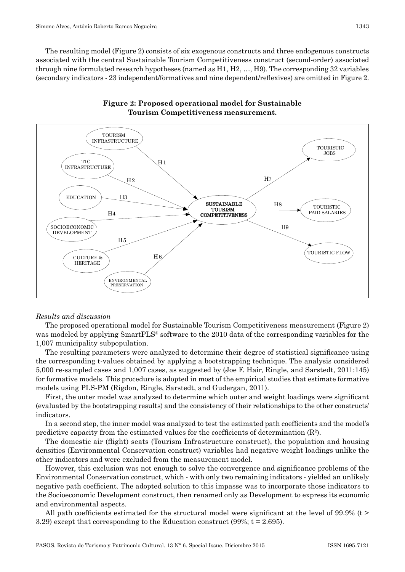The resulting model (Figure 2) consists of six exogenous constructs and three endogenous constructs associated with the central Sustainable Tourism Competitiveness construct (second -order) associated through nine formulated research hypotheses (named as H1, H2, …, H9). The corresponding 32 variables (secondary indicators - 23 independent/formatives and nine dependent/reflexives) are omitted in Figure 2.





#### *Results and discussion*

The proposed operational model for Sustainable Tourism Competitiveness measurement (Figure 2) was modeled by applying SmartPLS<sup>®</sup> software to the 2010 data of the corresponding variables for the 1,007 municipality subpopulation.

The resulting parameters were analyzed to determine their degree of statistical significance using the corresponding t -values obtained by applying a bootstrapping technique. The analysis considered 5,000 re -sampled cases and 1,007 cases, as suggested by (Joe F. Hair, Ringle, and Sarstedt, 2011:145) for formative models. This procedure is adopted in most of the empirical studies that estimate formative models using PLS -PM (Rigdon, Ringle, Sarstedt, and Gudergan, 2011).

First, the outer model was analyzed to determine which outer and weight loadings were significant (evaluated by the bootstrapping results) and the consistency of their relationships to the other constructs' indicators.

In a second step, the inner model was analyzed to test the estimated path coefficients and the model's predictive capacity from the estimated values for the coefficients of determination (R2 ).

The domestic air (flight) seats (Tourism Infrastructure construct), the population and housing densities (Environmental Conservation construct) variables had negative weight loadings unlike the other indicators and were excluded from the measurement model.

However, this exclusion was not enough to solve the convergence and significance problems of the Environmental Conservation construct, which - with only two remaining indicators - yielded an unlikely negative path coefficient. The adopted solution to this impasse was to incorporate those indicators to the Socioeconomic Development construct, then renamed only as Development to express its economic and environmental aspects.

All path coefficients estimated for the structural model were significant at the level of 99.9% ( $t >$ 3.29) except that corresponding to the Education construct (99%;  $t = 2.695$ ).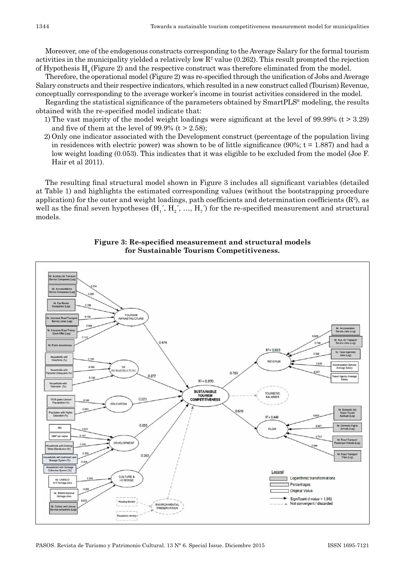Moreover, one of the endogenous constructs corresponding to the Average Salary for the formal tourism activities in the municipality yielded a relatively low  $\mathbb{R}^2$  value (0.262). This result prompted the rejection of Hypothesis  $H_0$  (Figure 2) and the respective construct was therefore eliminated from the model.

Therefore, the operational model (Figure 2) was re -specified through the unification of Jobs and Average Salary constructs and their respective indicators, which resulted in a new construct called (Tourism) Revenue, conceptually corresponding to the average worker's income in tourist activities considered in the model.

Regarding the statistical significance of the parameters obtained by SmartPLS® modeling, the results obtained with the re -specified model indicate that:

- 1) The vast majority of the model weight loadings were significant at the level of 99.99% (t > 3.29) and five of them at the level of  $99.9\%$  (t > 2.58);
- 2) Only one indicator associated with the Development construct (percentage of the population living in residences with electric power) was shown to be of little significance  $(90\%; t = 1.887)$  and had a low weight loading (0.053). This indicates that it was eligible to be excluded from the model (Joe F. Hair et al 2011).

The resulting final structural model shown in Figure 3 includes all significant variables (detailed at Table 1) and highlights the estimated corresponding values (without the bootstrapping procedure application) for the outer and weight loadings, path coefficients and determination coefficients  $(R^2)$ , as well as the final seven hypotheses (H<sub>1</sub>', H<sub>2</sub>', ..., H<sub>7</sub>') for the re-specified measurement and structural models.



**Figure 3: Re‑specified measurement and structural models for Sustainable Tourism Competitiveness.**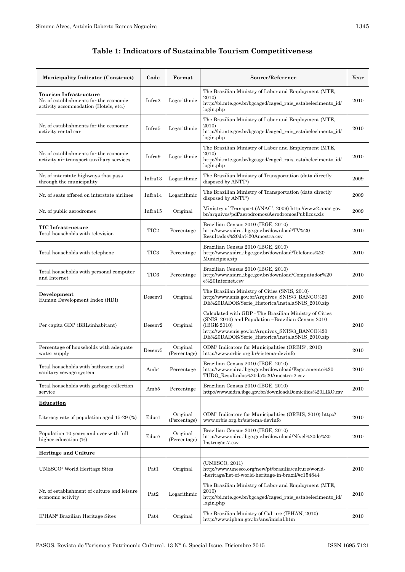## **Table 1: Indicators of Sustainable Tourism Competitiveness**

| <b>Municipality Indicator (Construct)</b>                                                                        | Code             | Format                   | Source/Reference                                                                                                                                                                                                                  | Year |
|------------------------------------------------------------------------------------------------------------------|------------------|--------------------------|-----------------------------------------------------------------------------------------------------------------------------------------------------------------------------------------------------------------------------------|------|
| <b>Tourism Infrastructure</b><br>Nr. of establishments for the economic<br>activity accommodation (Hotels, etc.) | Infra2           | Logarithmic              | The Brazilian Ministry of Labor and Employment (MTE,<br>2010)<br>http://bi.mte.gov.br/bgcaged/caged_rais_estabelecimento_id/<br>login.php                                                                                         | 2010 |
| Nr. of establishments for the economic<br>activity rental car                                                    | Infra5           | Logarithmic              | The Brazilian Ministry of Labor and Employment (MTE,<br>2010)<br>http://bi.mte.gov.br/bgcaged/caged_rais_estabelecimento_id/<br>login.php                                                                                         | 2010 |
| Nr. of establishments for the economic<br>activity air transport auxiliary services                              | Infra9           | Logarithmic              | The Brazilian Ministry of Labor and Employment (MTE,<br>2010)<br>http://bi.mte.gov.br/bgcaged/caged rais estabelecimento id/<br>login.php                                                                                         | 2010 |
| Nr. of interstate highways that pass<br>through the municipality                                                 | Infra13          | Logarithmic              | The Brazilian Ministry of Transportation (data directly<br>disposed by ANTT <sup>1</sup> )                                                                                                                                        | 2009 |
| Nr. of seats offered on interstate airlines                                                                      | Infra14          | Logarithmic              | The Brazilian Ministry of Transportation (data directly<br>disposed by ANTT <sup>1</sup> )                                                                                                                                        | 2009 |
| Nr. of public aerodromes                                                                                         | Infra15          | Original                 | Ministry of Transport (ANAC <sup>2</sup> , 2009) http://www2.anac.gov.<br>br/arquivos/pdf/aerodromos/AerodromosPublicos.xls                                                                                                       | 2009 |
| <b>TIC</b> Infrastructure<br>Total households with television                                                    | TIC <sub>2</sub> | Percentage               | Brazilian Census 2010 (IBGE, 2010)<br>http://www.sidra.ibge.gov.br/download/TV%20<br>Resultados%20da%20Amostra.csv                                                                                                                | 2010 |
| Total households with telephone                                                                                  | TIC <sub>3</sub> | Percentage               | Brazilian Census 2010 (IBGE, 2010)<br>http://www.sidra.ibge.gov.br/download/Telefones%20<br>Municipios.zip                                                                                                                        | 2010 |
| Total households with personal computer<br>and Internet                                                          | TIC <sub>6</sub> | Percentage               | Brazilian Census 2010 (IBGE, 2010)<br>http://www.sidra.ibge.gov.br/download/Computador%20<br>e%20Internet.csv                                                                                                                     | 2010 |
| Development<br>Human Development Index (HDI)                                                                     | Desenv1          | Original                 | The Brazilian Ministry of Cities (SNIS, 2010)<br>http://www.snis.gov.br/Arquivos_SNIS/3_BANCO%20<br>DE%20DADOS/Serie_Historica/InstalaSNIS_2010.zip                                                                               | 2010 |
| Per capita GDP (BRL/inhabitant)                                                                                  | Desenv2          | Original                 | Calculated with GDP - The Brazilian Ministry of Cities<br>(SNIS, 2010) and Population -Brazilian Census 2010<br>(IBGE 2010)<br>http://www.snis.gov.br/Arquivos_SNIS/3_BANCO%20<br>DE%20DADOS/Serie_Historica/InstalaSNIS_2010.zip | 2010 |
| Percentage of households with adequate<br>water supply                                                           | Desenv5          | Original<br>(Percentage) | ODM <sup>3</sup> Indicators for Municipalities (ORBIS <sup>4</sup> , 2010)<br>http://www.orbis.org.br/sistema-devinfo                                                                                                             | 2010 |
| Total households with bathroom and<br>sanitary sewage system                                                     | Amb4             | Percentage               | Brazilian Census 2010 (IBGE, 2010)<br>http://www.sidra.ibge.gov.br/download/Esgotamento%20<br>TUDO Resultados%20da%20Amostra-2.csv                                                                                                | 2010 |
| Total households with garbage collection<br>service                                                              | Amb5             | Percentage               | Brazilian Census 2010 (IBGE, 2010)<br>http://www.sidra.ibge.gov.br/download/Domicilios%20LIXO.csv                                                                                                                                 | 2010 |
| <b>Education</b>                                                                                                 |                  |                          |                                                                                                                                                                                                                                   |      |
| Literacy rate of population aged 15-29 (%)                                                                       | Educ1            | Original<br>(Percentage) | ODM <sup>3</sup> Indicators for Municipalities (ORBIS, 2010) http://<br>www.orbis.org.br/sistema-devinfo                                                                                                                          | 2010 |
| Population 10 years and over with full<br>higher education (%)                                                   | Educ7            | Original<br>(Percentage) | Brazilian Census 2010 (IBGE, 2010)<br>http://www.sidra.ibge.gov.br/download/Nível%20de%20<br>Instrução-7.csv                                                                                                                      | 2010 |
| <b>Heritage and Culture</b>                                                                                      |                  |                          |                                                                                                                                                                                                                                   |      |
| UNESCO <sup>5</sup> World Heritage Sites                                                                         | Pat1             | Original                 | (UNESCO, 2011)<br>http://www.unesco.org/new/pt/brasilia/culture/world-<br>-heritage/list-of-world-heritage-in-brazil/#c154844                                                                                                     | 2010 |
| Nr. of establishment of culture and leisure<br>economic activity                                                 | Pat <sub>2</sub> | Logarithmic              | The Brazilian Ministry of Labor and Employment (MTE,<br>2010)<br>http://bi.mte.gov.br/bgcaged/caged_rais_estabelecimento_id/<br>login.php                                                                                         | 2010 |
| IPHAN <sup>6</sup> Brazilian Heritage Sites                                                                      | Pat <sub>4</sub> | Original                 | The Brazilian Ministry of Culture (IPHAN, 2010)<br>http://www.iphan.gov.br/ans/inicial.htm                                                                                                                                        | 2010 |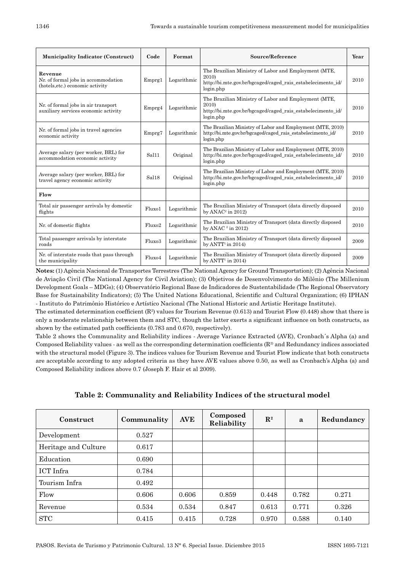| <b>Municipality Indicator (Construct)</b>                                          | Code               | Format      | Source/Reference                                                                                                                          |      |  |
|------------------------------------------------------------------------------------|--------------------|-------------|-------------------------------------------------------------------------------------------------------------------------------------------|------|--|
| Revenue<br>Nr. of formal jobs in accommodation<br>(hotels, etc.) economic activity | Emprg1             | Logarithmic | The Brazilian Ministry of Labor and Employment (MTE,<br>2010)<br>http://bi.mte.gov.br/bgcaged/caged rais estabelecimento id/<br>login.php | 2010 |  |
| Nr. of formal jobs in air transport<br>auxiliary services economic activity        | Emprg4             | Logarithmic | The Brazilian Ministry of Labor and Employment (MTE,<br>2010)<br>http://bi.mte.gov.br/bgcaged/caged rais estabelecimento id/<br>login.php | 2010 |  |
| Nr. of formal jobs in travel agencies<br>economic activity                         | Emprg7             | Logarithmic | The Brazilian Ministry of Labor and Employment (MTE, 2010)<br>http://bi.mte.gov.br/bgcaged/caged rais estabelecimento id/<br>login.php    | 2010 |  |
| Average salary (per worker, BRL) for<br>accommodation economic activity            | Sal11              | Original    | The Brazilian Ministry of Labor and Employment (MTE, 2010)<br>http://bi.mte.gov.br/bgcaged/caged_rais_estabelecimento_id/<br>login.php    | 2010 |  |
| Average salary (per worker, BRL) for<br>travel agency economic activity            | Sal <sub>18</sub>  | Original    | The Brazilian Ministry of Labor and Employment (MTE, 2010)<br>http://bi.mte.gov.br/bgcaged/caged rais estabelecimento id/<br>login.php    | 2010 |  |
| Flow                                                                               |                    |             |                                                                                                                                           |      |  |
| Total air passenger arrivals by domestic<br>flights                                | Fluxo1             | Logarithmic | The Brazilian Ministry of Transport (data directly disposed<br>by $ANAC2$ in 2012)                                                        | 2010 |  |
| Nr. of domestic flights                                                            | Fluxo2             | Logarithmic | The Brazilian Ministry of Transport (data directly disposed<br>by ANAC $^2$ in 2012)                                                      | 2010 |  |
| Total passenger arrivals by interstate<br>roads                                    | Fluxo3             | Logarithmic | The Brazilian Ministry of Transport (data directly disposed<br>by $ANTT1$ in 2014)                                                        | 2009 |  |
| Nr. of interstate roads that pass through<br>the municipality                      | Flux <sub>04</sub> | Logarithmic | The Brazilian Ministry of Transport (data directly disposed<br>by $ANTT1$ in 2014)                                                        | 2009 |  |

**Notes:** (1) Agência Nacional de Transportes Terrestres (The National Agency for Ground Transportation); (2) Agência Nacional de Aviação Civil (The National Agency for Civil Aviation); (3) Objetivos de Desenvolvimento do Milênio (The Millenium Development Goals – MDGs); (4) Observatório Regional Base de Indicadores de Sustentabilidade (The Regional Observatory Base for Sustainability Indicators); (5) The United Nations Educational, Scientific and Cultural Organization; (6) IPHAN - Instituto do Patrimônio Histórico e Artístico Nacional (The National Historic and Artistic Heritage Institute).

The estimated determination coefficient  $(R^2)$  values for Tourism Revenue (0.613) and Tourist Flow (0.448) show that there is only a moderate relationship between them and STC, though the latter exerts a significant influence on both constructs, as shown by the estimated path coefficients (0.783 and 0.670, respectively).

Table 2 shows the Communality and Reliability indices - Average Variance Extracted (AVE), Cronbach´s Alpha (a) and Composed Reliability values - as well as the corresponding determination coefficients  $(\mathbb{R}^2)$  and Redundancy indices associated with the structural model (Figure 3). The indices values for Tourism Revenue and Tourist Flow indicate that both constructs are acceptable according to any adopted criteria as they have AVE values above 0.50, as well as Cronbach's Alpha (a) and Composed Reliability indices above 0.7 (Joseph F. Hair et al 2009).

| Construct            | Communality | <b>AVE</b> | Composed<br>Reliability | $\mathbf{R}^2$ | a     | Redundancy |
|----------------------|-------------|------------|-------------------------|----------------|-------|------------|
| Development          | 0.527       |            |                         |                |       |            |
| Heritage and Culture | 0.617       |            |                         |                |       |            |
| Education            | 0.690       |            |                         |                |       |            |
| <b>ICT</b> Infra     | 0.784       |            |                         |                |       |            |
| Tourism Infra        | 0.492       |            |                         |                |       |            |
| Flow                 | 0.606       | 0.606      | 0.859                   | 0.448          | 0.782 | 0.271      |
| Revenue              | 0.534       | 0.534      | 0.847                   | 0.613          | 0.771 | 0.326      |
| <b>STC</b>           | 0.415       | 0.415      | 0.728                   | 0.970          | 0.588 | 0.140      |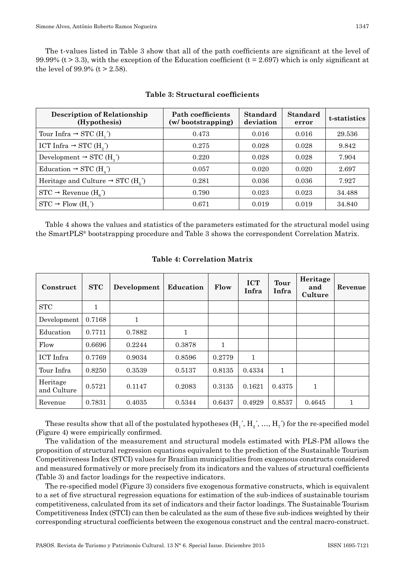The t-values listed in Table 3 show that all of the path coefficients are significant at the level of 99.99% (t  $>$  3.3), with the exception of the Education coefficient (t = 2.697) which is only significant at the level of 99.9%  $(t > 2.58)$ .

| <b>Description of Relationship</b><br>(Hypothesis)       | Path coefficients<br>(w/bootstrapping) | Standard<br>deviation | <b>Standard</b><br>error | t-statistics |
|----------------------------------------------------------|----------------------------------------|-----------------------|--------------------------|--------------|
| Tour Infra $\rightarrow$ STC (H <sub>1</sub> )           | 0.473                                  | 0.016                 | 0.016                    | 29.536       |
| ICT Infra $\rightarrow$ STC (H <sub>2</sub> )            | 0.275                                  | 0.028                 | 0.028                    | 9.842        |
| Development $\rightarrow$ STC (H <sub>2</sub> )          | 0.220                                  | 0.028                 | 0.028                    | 7.904        |
| Education $\rightarrow$ STC (H <sub>1</sub> )            | 0.057                                  | 0.020                 | 0.020                    | 2.697        |
| Heritage and Culture $\rightarrow$ STC (H <sub>5</sub> ) | 0.281                                  | 0.036                 | 0.036                    | 7.927        |
| $STC \rightarrow$ Revenue $(H_{\epsilon})$               | 0.790                                  | 0.023                 | 0.023                    | 34.488       |
| $STC \rightarrow Flow(H, \hat{ } )$                      | 0.671                                  | 0.019                 | 0.019                    | 34.840       |

### **Table 3: Structural coefficients**

Table 4 shows the values and statistics of the parameters estimated for the structural model using the SmartPLS® bootstrapping procedure and Table 3 shows the correspondent Correlation Matrix.

| Construct               | STC    | Development | Education | Flow   | <b>ICT</b><br>Infra | Tour<br>Infra | Heritage<br>and<br>Culture | Revenue |
|-------------------------|--------|-------------|-----------|--------|---------------------|---------------|----------------------------|---------|
| <b>STC</b>              | 1      |             |           |        |                     |               |                            |         |
| Development             | 0.7168 | 1           |           |        |                     |               |                            |         |
| Education               | 0.7711 | 0.7882      | 1         |        |                     |               |                            |         |
| Flow                    | 0.6696 | 0.2244      | 0.3878    | 1      |                     |               |                            |         |
| ICT Infra               | 0.7769 | 0.9034      | 0.8596    | 0.2779 | 1                   |               |                            |         |
| Tour Infra              | 0.8250 | 0.3539      | 0.5137    | 0.8135 | 0.4334              | 1             |                            |         |
| Heritage<br>and Culture | 0.5721 | 0.1147      | 0.2083    | 0.3135 | 0.1621              | 0.4375        | 1                          |         |
| Revenue                 | 0.7831 | 0.4035      | 0.5344    | 0.6437 | 0.4929              | 0.8537        | 0.4645                     |         |

#### **Table 4: Correlation Matrix**

These results show that all of the postulated hypotheses  $(H'_1, H'_2, ..., H_7)$  for the re-specified model (Figure 4) were empirically confirmed.

The validation of the measurement and structural models estimated with PLS -PM allows the proposition of structural regression equations equivalent to the prediction of the Sustainable Tourism Competitiveness Index (STCI) values for Brazilian municipalities from exogenous constructs considered and measured formatively or more precisely from its indicators and the values of structural coefficients (Table 3) and factor loadings for the respective indicators.

The re -specified model (Figure 3) considers five exogenous formative constructs, which is equivalent to a set of five structural regression equations for estimation of the sub -indices of sustainable tourism competitiveness, calculated from its set of indicators and their factor loadings. The Sustainable Tourism Competitiveness Index (STCI) can then be calculated as the sum of these five sub -indices weighted by their corresponding structural coefficients between the exogenous construct and the central macro -construct.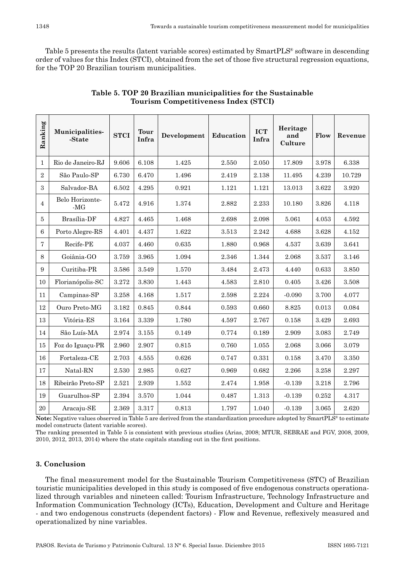Table 5 presents the results (latent variable scores) estimated by SmartPLS® software in descending order of values for this Index (STCI), obtained from the set of those five structural regression equations, for the TOP 20 Brazilian tourism municipalities.

| Ranking        | Municipalities-<br>-State | <b>STCI</b> | <b>Tour</b><br>Infra | Development | Education | <b>ICT</b><br>Infra | Heritage<br>and<br>Culture | Flow  | Revenue |
|----------------|---------------------------|-------------|----------------------|-------------|-----------|---------------------|----------------------------|-------|---------|
| 1              | Rio de Janeiro-RJ         | 9.606       | 6.108                | 1.425       | 2.550     | 2.050               | 17.809                     | 3.978 | 6.338   |
| $\overline{2}$ | São Paulo-SP              | 6.730       | 6.470                | 1.496       | 2.419     | 2.138               | 11.495                     | 4.239 | 10.729  |
| 3              | Salvador-BA               | 6.502       | 4.295                | 0.921       | 1.121     | 1.121               | 13.013                     | 3.622 | 3.920   |
| $\overline{4}$ | Belo Horizonte-<br>$-MG$  | 5.472       | 4.916                | 1.374       | 2.882     | 2.233               | 10.180                     | 3.826 | 4.118   |
| 5              | Brasília-DF               | 4.827       | 4.465                | 1.468       | 2.698     | 2.098               | 5.061                      | 4.053 | 4.592   |
| 6              | Porto Alegre-RS           | 4.401       | 4.437                | 1.622       | 3.513     | 2.242               | 4.688                      | 3.628 | 4.152   |
| $\overline{7}$ | Recife-PE                 | 4.037       | 4.460                | 0.635       | 1.880     | 0.968               | 4.537                      | 3.639 | 3.641   |
| 8              | Goiânia-GO                | 3.759       | 3.965                | 1.094       | 2.346     | 1.344               | 2.068                      | 3.537 | 3.146   |
| 9              | Curitiba-PR               | 3.586       | 3.549                | 1.570       | 3.484     | 2.473               | 4.440                      | 0.633 | 3.850   |
| 10             | Florianópolis-SC          | 3.272       | 3.830                | 1.443       | 4.583     | 2.810               | 0.405                      | 3.426 | 3.508   |
| 11             | Campinas-SP               | 3.258       | 4.168                | 1.517       | 2.598     | 2.224               | $-0.090$                   | 3.700 | 4.077   |
| 12             | Ouro Preto-MG             | 3.182       | 0.845                | 0.844       | 0.593     | 0.660               | 8.825                      | 0.013 | 0.084   |
| 13             | Vitória-ES                | 3.164       | 3.339                | 1.780       | 4.597     | 2.767               | 0.158                      | 3.429 | 2.693   |
| 14             | São Luís-MA               | 2.974       | 3.155                | 0.149       | 0.774     | 0.189               | 2.909                      | 3.083 | 2.749   |
| 15             | Foz do Iguaçu-PR          | 2.960       | 2.907                | 0.815       | 0.760     | 1.055               | 2.068                      | 3.066 | 3.079   |
| 16             | Fortaleza-CE              | 2.703       | 4.555                | 0.626       | 0.747     | 0.331               | 0.158                      | 3.470 | 3.350   |
| 17             | Natal-RN                  | 2.530       | 2.985                | 0.627       | 0.969     | 0.682               | 2.266                      | 3.258 | 2.297   |
| 18             | Ribeirão Preto-SP         | 2.521       | 2.939                | 1.552       | 2.474     | 1.958               | $-0.139$                   | 3.218 | 2.796   |
| 19             | Guarulhos-SP              | 2.394       | 3.570                | 1.044       | 0.487     | 1.313               | $-0.139$                   | 0.252 | 4.317   |
| $20\,$         | Aracaju-SE                | 2.369       | 3.317                | 0.813       | 1.797     | 1.040               | $-0.139$                   | 3.065 | 2.620   |

| Table 5. TOP 20 Brazilian municipalities for the Sustainable |
|--------------------------------------------------------------|
| Tourism Competitiveness Index (STCI)                         |

**Note:** Negative values observed in Table 5 are derived from the standardization procedure adopted by SmartPLS® to estimate model constructs (latent variable scores).

The ranking presented in Table 5 is consistent with previous studies (Arias, 2008; MTUR, SEBRAE and FGV, 2008, 2009, 2010, 2012, 2013, 2014) where the state capitals standing out in the first positions.

## **3. Conclusion**

The final measurement model for the Sustainable Tourism Competitiveness (STC) of Brazilian touristic municipalities developed in this study is composed of five endogenous constructs operationalized through variables and nineteen called: Tourism Infrastructure, Technology Infrastructure and Information Communication Technology (ICTs), Education, Development and Culture and Heritage - and two endogenous constructs (dependent factors) - Flow and Revenue, reflexively measured and operationalized by nine variables.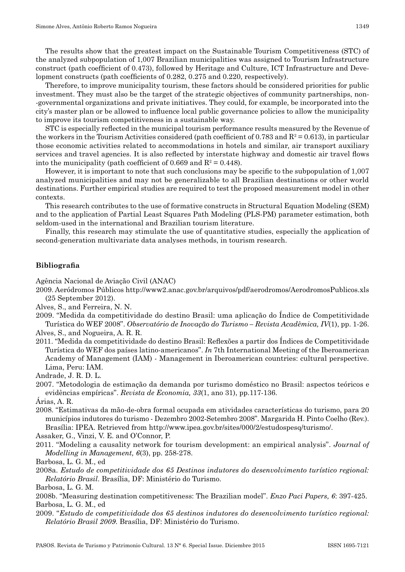The results show that the greatest impact on the Sustainable Tourism Competitiveness (STC) of the analyzed subpopulation of 1,007 Brazilian municipalities was assigned to Tourism Infrastructure construct (path coefficient of 0.473), followed by Heritage and Culture, ICT Infrastructure and Development constructs (path coefficients of 0.282, 0.275 and 0.220, respectively).

Therefore, to improve municipality tourism, these factors should be considered priorities for public investment. They must also be the target of the strategic objectives of community partnerships, non- -governmental organizations and private initiatives. They could, for example, be incorporated into the city's master plan or be allowed to influence local public governance policies to allow the municipality to improve its tourism competitiveness in a sustainable way.

STC is especially reflected in the municipal tourism performance results measured by the Revenue of the workers in the Tourism Activities considered (path coefficient of 0.783 and  $R^2 = 0.613$ ), in particular those economic activities related to accommodations in hotels and similar, air transport auxiliary services and travel agencies. It is also reflected by interstate highway and domestic air travel flows into the municipality (path coefficient of 0.669 and  $R^2$  = 0.448).

However, it is important to note that such conclusions may be specific to the subpopulation of 1,007 analyzed municipalities and may not be generalizable to all Brazilian destinations or other world destinations. Further empirical studies are required to test the proposed measurement model in other contexts.

This research contributes to the use of formative constructs in Structural Equation Modeling (SEM) and to the application of Partial Least Squares Path Modeling (PLS -PM) parameter estimation, both seldom -used in the international and Brazilian tourism literature.

Finally, this research may stimulate the use of quantitative studies, especially the application of second -generation multivariate data analyses methods, in tourism research.

## **Bibliografia**

Agência Nacional de Aviação Civil (ANAC)

- 2009. Aeródromos Públicos http://www2.anac.gov.br/arquivos/pdf/aerodromos/AerodromosPublicos.xls (25 September 2012).
- Alves, S., and Ferreira, N. N.
- 2009. "Medida da competitividade do destino Brasil: uma aplicação do Índice de Competitividade Turística do WEF 2008". *Observatório de Inovação do Turismo – Revista Acadêmica, IV*(1), pp. 1 -26.

Alves, S., and Nogueira, A. R. R.

- 2011. "Medida da competitividade do destino Brasil: Reflexões a partir dos Índices de Competitividade Turística do WEF dos países latino -americanos". *In* 7th International Meeting of the Iberoamerican Academy of Management (IAM) - Management in Iberoamerican countries: cultural perspective. Lima, Peru: IAM.
- Andrade, J. R. D. L.
- 2007. "Metodologia de estimação da demanda por turismo doméstico no Brasil: aspectos teóricos e evidências empíricas". *Revista de Economia, 33*(1, ano 31), pp.117 -136.

Árias, A. R.

2008. "Estimativas da mão -de -obra formal ocupada em atividades características do turismo, para 20 municípios indutores do turismo - Dezembro 2002 -Setembro 2008". Margarida H. Pinto Coelho (Rev.). Brasília: IPEA. Retrieved from http://www.ipea.gov.br/sites/000/2/estudospesq/turismo/.

Assaker, G., Vinzi, V. E. and O'Connor, P.

2011. "Modeling a causality network for tourism development: an empirical analysis". *Journal of Modelling in Management, 6*(3), pp. 258 -278.

Barbosa, L. G. M., ed

2008a. *Estudo de competitividade dos 65 Destinos indutores do desenvolvimento turístico regional: Relatório Brasil*. Brasília, DF: Ministério do Turismo.

Barbosa, L. G. M.

- 2008b. "Measuring destination competitiveness: The Brazilian model". *Enzo Paci Papers, 6*: 397 -425. Barbosa, L. G. M., ed
- 2009. "*Estudo de competitividade dos 65 destinos indutores do desenvolvimento turístico regional: Relatório Brasil 2009*. Brasília, DF: Ministério do Turismo.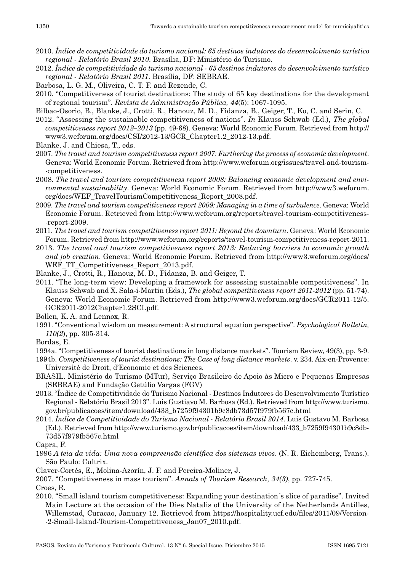- 2010. *Índice de competitividade do turismo nacional: 65 destinos indutores do desenvolvimento turístico regional ‑ Relatório Brasil 2010*. Brasília, DF: Ministério do Turismo.
- 2012. *Índice de competitividade do turismo nacional ‑ 65 destinos indutores do desenvolvimento turístico regional ‑ Relatório Brasil 2011*. Brasília, DF: SEBRAE.
- Barbosa, L. G. M., Oliveira, C. T. F. and Rezende, C.
- 2010. "Competitiveness of tourist destinations: The study of 65 key destinations for the development of regional tourism". *Revista de Administração Pública, 44*(5): 1067 -1095.
- Bilbao -Osorio, B., Blanke, J., Crotti, R., Hanouz, M. D., Fidanza, B., Geiger, T., Ko, C. and Serin, C.
- 2012. "Assessing the sustainable competitiveness of nations". *In* Klauss Schwab (Ed.), *The global competitiveness report 2012–2013* (pp. 49 -68). Geneva: World Economic Forum. Retrieved from http:// www3.weforum.org/docs/CSI/2012 -13/GCR\_Chapter1.2\_2012 -13.pdf.
- Blanke, J. and Chiesa, T., eds.
- 2007. *The travel and tourism competitiveness report 2007: Furthering the process of economic development*. Geneva: World Economic Forum. Retrieved from http://www.weforum.org/issues/travel -and -tourism- -competitiveness.
- 2008. *The travel and tourism competitiveness report 2008: Balancing economic development and envi‑ ronmental sustainability*. Geneva: World Economic Forum. Retrieved from http://www3.weforum. org/docs/WEF\_TravelTourismCompetitiveness\_Report\_2008.pdf.
- 2009. *The travel and tourism competitiveness report 2009: Managing in a time of turbulence*. Geneva: World Economic Forum. Retrieved from http://www.weforum.org/reports/travel -tourism -competitiveness- -report -2009.
- 2011. *The travel and tourism competitiveness report 2011: Beyond the downturn*. Geneva: World Economic Forum. Retrieved from http://www.weforum.org/reports/travel -tourism -competitiveness -report -2011.
- 2013. *The travel and tourism competitiveness report 2013: Reducing barriers to economic growth and job creation*. Geneva: World Economic Forum. Retrieved from http://www3.weforum.org/docs/ WEF\_TT\_Competitiveness\_Report\_2013.pdf.
- Blanke, J., Crotti, R., Hanouz, M. D., Fidanza, B. and Geiger, T.
- 2011. "The long -term view: Developing a framework for assessing sustainable competitiveness". In Klauss Schwab and X. Sala -i -Martin (Eds.), *The global competitiveness report 2011‑2012* (pp. 51 -74). Geneva: World Economic Forum. Retrieved from http://www3.weforum.org/docs/GCR2011 -12/5. GCR2011 -2012Chapter1.2SCI.pdf.
- Bollen, K. A. and Lennox, R.
- 1991. "Conventional wisdom on measurement: A structural equation perspective". *Psychological Bulletin, 110(2*), pp. 305 -314.
- Bordas, E.
- 1994a. "Competitiveness of tourist destinations in long distance markets". Tourism Review, 49(3), pp. 3 -9.
- 1994b. *Competitiveness of tourist destinations: The Case of long distance markets*. v. 234. Aix -en -Provence: Université de Droit, d'Economie et des Sciences.
- BRASIL. Ministério do Turismo (MTur), Serviço Brasileiro de Apoio às Micro e Pequenas Empresas (SEBRAE) and Fundação Getúlio Vargas (FGV)
- 2013. "Índice de Competitividade do Turismo Nacional Destinos Indutores do Desenvolvimento Turístico Regional - Relatório Brasil 2013". Luis Gustiavo M. Barbosa (Ed.). Retrieved from http://www.turismo. gov.br/publicacoes/item/download/433\_b7259f94301b9c8db73d57f979fb567c.html
- 2014. *Índice de Competitividade do Turismo Nacional ‑ Relatório Brasil 2014*. Luis Gustavo M. Barbosa (Ed.). Retrieved from http://www.turismo.gov.br/publicacoes/item/download/433\_b7259f94301b9c8db-73d57f979fb567c.html
- Capra, F.
- 1996 *A teia da vida: Uma nova compreensão científica dos sistemas vivos*. (N. R. Eichemberg, Trans.). São Paulo: Cultrix.
- Claver -Cortés, E., Molina -Azorín, J. F. and Pereira -Moliner, J.
- 2007. "Competitiveness in mass tourism". *Annals of Tourism Research, 34(3)*, pp. 727 -745.

Croes, R.

2010. "Small island tourism competitiveness: Expanding your destination´s slice of paradise". Invited Main Lecture at the occasion of the Dies Natalis of the University of the Netherlands Antilles, Willemstad, Curacao, January 12. Retrieved from https://hospitality.ucf.edu/files/2011/09/Version- -2 -Small -Island -Tourism -Competitiveness\_Jan07\_2010.pdf.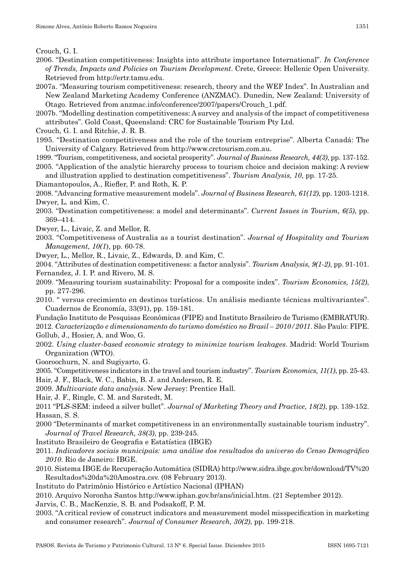- 2006. "Destination competitiveness: Insights into attribute importance International". *In Conference of Trends, Impacts and Policies on Tourism Development*. Crete, Greece: Hellenic Open University. Retrieved from http://ertr.tamu.edu.
- 2007a. "Measuring tourism competitiveness: research, theory and the WEF Index". In Australian and New Zealand Marketing Academy Conference (ANZMAC). Dunedin, New Zealand: University of Otago. Retrieved from anzmac.info/conference/2007/papers/Crouch\_1.pdf.
- 2007b. "Modelling destination competitiveness: A survey and analysis of the impact of competitiveness attributes". Gold Coast, Queensland: CRC for Sustainable Tourism Pty Ltd.
- Crouch, G. I. and Ritchie, J. R. B.
- 1995. "Destination competitiveness and the role of the tourism entreprise". Alberta Canadá: The University of Calgary. Retrieved from http://www.crctourism.com.au.
- 1999. "Tourism, competitiveness, and societal prosperity". *Journal of Business Research, 44(3)*, pp. 137 -152. 2005. "Application of the analytic hierarchy process to tourism choice and decision making: A review

and illustration applied to destination competitiveness". *Tourism Analysis, 10*, pp. 17 -25.

- Diamantopoulos, A., Riefler, P. and Roth, K. P.
- 2008. "Advancing formative measurement models". *Journal of Business Research, 61(12)*, pp. 1203 -1218. Dwyer, L. and Kim, C.
- 2003. "Destination competitiveness: a model and determinants". *Current Issues in Tourism, 6(5)*, pp. 369–414.
- Dwyer, L., Livaic, Z. and Mellor, R.
- 2003. "Competitiveness of Australia as a tourist destination". *Journal of Hospitality and Tourism Management, 10(1)*, pp. 60-78.
- Dwyer, L., Mellor, R., Livaic, Z., Edwards, D. and Kim, C.
- 2004. "Attributes of destination competitiveness: a factor analysis". *Tourism Analysis, 9(1‑2)*, pp. 91 -101. Fernandez, J. I. P. and Rivero, M. S.
- 2009. "Measuring tourism sustainability: Proposal for a composite index". *Tourism Economics, 15(2)*, pp. 277 -296.
- 2010. " versus crecimiento en destinos turísticos. Un análisis mediante técnicas multivariantes". Cuadernos de Economía, 33(91), pp. 159 -181.
- Fundação Instituto de Pesquisas Econômicas (FIPE) and Instituto Brasileiro de Turismo (EMBRATUR).
- 2012. *Caracterização e dimensionamento do turismo doméstico no Brasil 2010/2011*. São Paulo: FIPE. Gollub, J., Hosier, A. and Woo, G.
- 2002. *Using cluster‑based economic strategy to minimize tourism leakages*. Madrid: World Tourism Organization (WTO).
- Gooroochurn, N. and Sugiyarto, G.
- 2005. "Competitiveness indicators in the travel and tourism industry". *Tourism Economics, 11(1)*, pp. 25 -43. Hair, J. F., Black, W. C., Babin, B. J. and Anderson, R. E.
- 2009. *Multivariate data analysis*. New Jersey: Prentice Hall.
- Hair, J. F., Ringle, C. M. and Sarstedt, M.
- 2011 "PLS -SEM: indeed a silver bullet". *Journal of Marketing Theory and Practice, 18(2)*, pp. 139 -152. Hassan, S. S.
- 2000 "Determinants of market competitiveness in an environmentally sustainable tourism industry". *Journal of Travel Research, 38(3)*, pp. 239 -245.
- Instituto Brasileiro de Geografia e Estatística (IBGE)
- 2011. *Indicadores sociais municipais: uma análise dos resultados do universo do Censo Demográfico 2010*. Rio de Janeiro: IBGE.
- 2010. Sistema IBGE de Recuperação Automática (SIDRA) http://www.sidra.ibge.gov.br/download/TV%20 Resultados%20da%20Amostra.csv. (08 February 2013).
- Instituto do Patrimônio Histórico e Artístico Nacional (IPHAN)
- 2010. Arquivo Noronha Santos http://www.iphan.gov.br/ans/inicial.htm. (21 September 2012).
- Jarvis, C. B., MacKenzie, S. B. and Podsakoff, P. M.
- 2003. "A critical review of construct indicators and measurement model misspecification in marketing and consumer research". *Journal of Consumer Research, 30(2)*, pp. 199-218.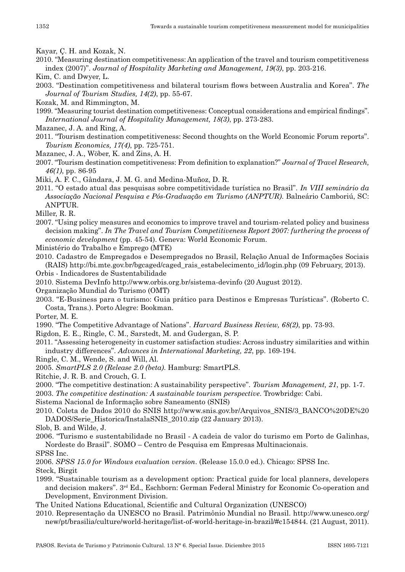Kayar, Ç. H. and Kozak, N.

- 2010. "Measuring destination competitiveness: An application of the travel and tourism competitiveness index (2007)". *Journal of Hospitality Marketing and Management, 19(3)*, pp. 203 -216.
- Kim, C. and Dwyer, L.
- 2003. "Destination competitiveness and bilateral tourism flows between Australia and Korea". *The Journal of Tourism Studies, 14(2)*, pp. 55 -67.
- Kozak, M. and Rimmington, M.
- 1999. "Measuring tourist destination competitiveness: Conceptual considerations and empirical findings". *International Journal of Hospitality Management, 18(3)*, pp. 273 -283.
- Mazanec, J. A. and Ring, A.
- 2011. "Tourism destination competitiveness: Second thoughts on the World Economic Forum reports". *Tourism Economics, 17(4)*, pp. 725 -751.
- Mazanec, J. A., Wöber, K. and Zins, A. H.
- 2007. "Tourism destination competitiveness: From definition to explanation?" *Journal of Travel Research, 46(1)*, pp. 86 -95
- Miki, A. F. C., Gândara, J. M. G. and Medina -Muñoz, D. R.
- 2011. "O estado atual das pesquisas sobre competitividade turística no Brasil". *In VIII seminário da Associação Nacional Pesquisa e Pós‑Graduação em Turismo (ANPTUR)*. Balneário Camboriú, SC: ANPTUR.
- Miller, R. R.
- 2007. "Using policy measures and economics to improve travel and tourism -related policy and business decision making". *In The Travel and Tourism Competitiveness Report 2007: furthering the process of economic development* (pp. 45 -54). Geneva: World Economic Forum.
- Ministério do Trabalho e Emprego (MTE)
- 2010. Cadastro de Empregados e Desempregados no Brasil, Relação Anual de Informações Sociais (RAIS) http://bi.mte.gov.br/bgcaged/caged\_rais\_estabelecimento\_id/login.php (09 February, 2013).
- Orbis Indicadores de Sustentabilidade
- 2010. Sistema DevInfo http://www.orbis.org.br/sistema -devinfo (20 August 2012).
- Organização Mundial do Turismo (OMT)
- 2003. "E -Business para o turismo: Guia prático para Destinos e Empresas Turísticas". (Roberto C. Costa, Trans.). Porto Alegre: Bookman.
- Porter, M. E.
- 1990. "The Competitive Advantage of Nations". *Harvard Business Review, 68(2)*, pp. 73 -93.
- Rigdon, E. E., Ringle, C. M., Sarstedt, M. and Gudergan, S. P.
- 2011. "Assessing heterogeneity in customer satisfaction studies: Across industry similarities and within industry differences". *Advances in International Marketing, 22*, pp. 169 -194.
- Ringle, C. M., Wende, S. and Will, Al.
- 2005. *SmartPLS 2.0 (Release 2.0 (beta)*. Hamburg: SmartPLS.
- Ritchie, J. R. B. and Crouch, G. I.
- 2000. "The competitive destination: A sustainability perspective". *Tourism Management, 21*, pp. 1 -7.
- 2003. *The competitive destination: A sustainable tourism perspective*. Trowbridge: Cabi.
- Sistema Nacional de Informação sobre Saneamento (SNIS)
- 2010. Coleta de Dados 2010 do SNIS http://www.snis.gov.br/Arquivos\_SNIS/3\_BANCO%20DE%20 DADOS/Serie\_Historica/InstalaSNIS\_2010.zip (22 January 2013).
- Slob, B. and Wilde, J.
- 2006. "Turismo e sustentabilidade no Brasil A cadeia de valor do turismo em Porto de Galinhas, Nordeste do Brasil". SOMO – Centro de Pesquisa em Empresas Multinacionais.
- SPSS Inc.
- 2006. *SPSS 15.0 for Windows evaluation version*. (Release 15.0.0 ed.). Chicago: SPSS Inc. Steck, Birgit
- 1999. "Sustainable tourism as a development option: Practical guide for local planners, developers and decision makers". 3<sup>rd</sup> Ed., Eschborn: German Federal Ministry for Economic Co-operation and Development, Environment Division.
- The United Nations Educational, Scientific and Cultural Organization (UNESCO)
- 2010. Representação da UNESCO no Brasil. Patrimônio Mundial no Brasil. http://www.unesco.org/ new/pt/brasilia/culture/world -heritage/list -of -world -heritage -in -brazil/#c154844. (21 August, 2011).